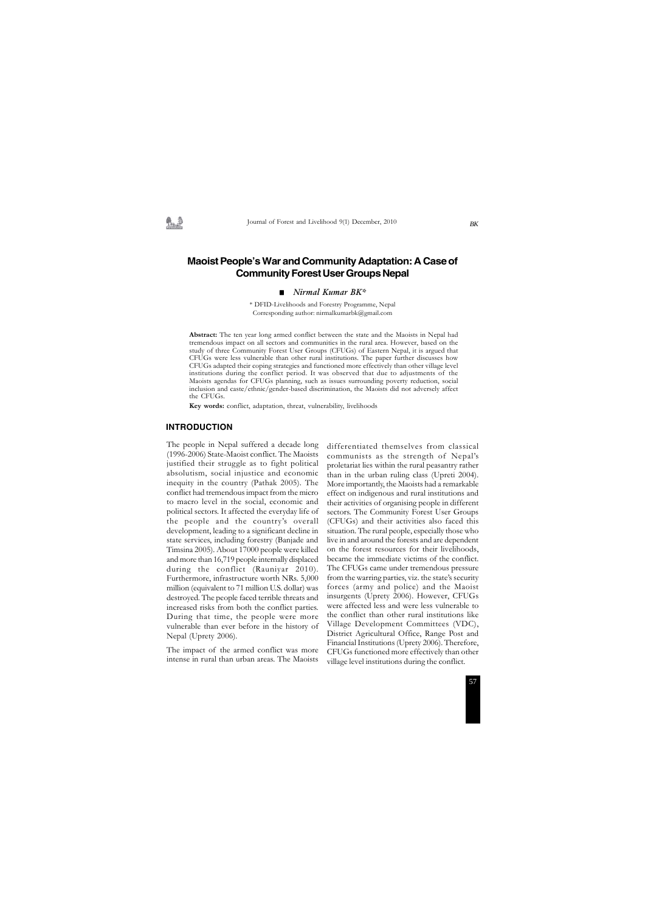Journal of Forest and Livelihood 9(1) December, 2010

# **Maoist People's War and Community Adaptation: A Case of Community Forest User Groups Nepal**

#### *Nirmal Kumar BK\**

\* DFID-Livelihoods and Forestry Programme, Nepal Corresponding author: nirmalkumarbk@gmail.com

#### **INTRODUCTION**

**Abstract:** The ten year long armed conflict between the state and the Maoists in Nepal had tremendous impact on all sectors and communities in the rural area. However, based on the study of three Community Forest User Groups (CFUGs) of Eastern Nepal, it is argued that CFUGs were less vulnerable than other rural institutions. The paper further discusses how CFUGs adapted their coping strategies and functioned more effectively than other village level institutions during the conflict period. It was observed that due to adjustments of the Maoists agendas for CFUGs planning, such as issues surrounding poverty reduction, social inclusion and caste/ethnic/gender-based discrimination, the Maoists did not adversely affect the CFUGs.

**Key words:** conflict, adaptation, threat, vulnerability, livelihoods

The people in Nepal suffered a decade long (1996-2006) State-Maoist conflict. The Maoists justified their struggle as to fight political absolutism, social injustice and economic inequity in the country (Pathak 2005). The conflict had tremendous impact from the micro to macro level in the social, economic and political sectors. It affected the everyday life of the people and the country's overall development, leading to a significant decline in state services, including forestry (Banjade and Timsina 2005). About 17000 people were killed and more than 16,719 people internally displaced during the conflict (Rauniyar 2010). Furthermore, infrastructure worth NRs. 5,000 million (equivalent to 71 million U.S. dollar) was destroyed. The people faced terrible threats and increased risks from both the conflict parties. During that time, the people were more vulnerable than ever before in the history of Nepal (Uprety 2006).

The impact of the armed conflict was more intense in rural than urban areas. The Maoists differentiated themselves from classical communists as the strength of Nepal's proletariat lies within the rural peasantry rather than in the urban ruling class (Upreti 2004). More importantly, the Maoists had a remarkable effect on indigenous and rural institutions and their activities of organising people in different sectors. The Community Forest User Groups (CFUGs) and their activities also faced this situation. The rural people, especially those who live in and around the forests and are dependent on the forest resources for their livelihoods, became the immediate victims of the conflict. The CFUGs came under tremendous pressure from the warring parties, viz. the state's security forces (army and police) and the Maoist insurgents (Uprety 2006). However, CFUGs were affected less and were less vulnerable to the conflict than other rural institutions like Village Development Committees (VDC), District Agricultural Office, Range Post and Financial Institutions (Uprety 2006). Therefore, CFUGs functioned more effectively than other village level institutions during the conflict.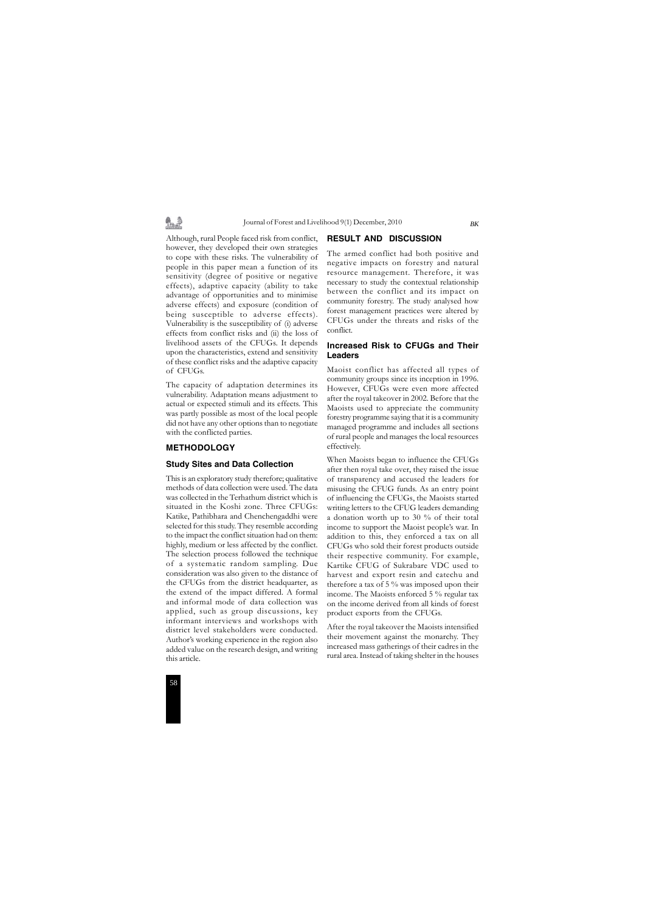# 乳垫

Journal of Forest and Livelihood 9(1) December, 2010

Although, rural People faced risk from conflict, however, they developed their own strategies to cope with these risks. The vulnerability of people in this paper mean a function of its sensitivity (degree of positive or negative effects), adaptive capacity (ability to take advantage of opportunities and to minimise adverse effects) and exposure (condition of being susceptible to adverse effects). Vulnerability is the susceptibility of (i) adverse effects from conflict risks and (ii) the loss of livelihood assets of the CFUGs. It depends upon the characteristics, extend and sensitivity of these conflict risks and the adaptive capacity of CFUGs.

The capacity of adaptation determines its vulnerability. Adaptation means adjustment to actual or expected stimuli and its effects. This was partly possible as most of the local people did not have any other options than to negotiate with the conflicted parties.

# **METHODOLOGY**

### **Study Sites and Data Collection**

This is an exploratory study therefore; qualitative methods of data collection were used. The data was collected in the Terhathum district which is situated in the Koshi zone. Three CFUGs: Katike, Pathibhara and Chenchengaddhi were selected for this study. They resemble according to the impact the conflict situation had on them: highly, medium or less affected by the conflict. The selection process followed the technique of a systematic random sampling. Due consideration was also given to the distance of the CFUGs from the district headquarter, as the extend of the impact differed. A formal and informal mode of data collection was applied, such as group discussions, key informant interviews and workshops with district level stakeholders were conducted. Author's working experience in the region also added value on the research design, and writing this article.

### **RESULT AND DISCUSSION**

The armed conflict had both positive and negative impacts on forestry and natural resource management. Therefore, it was necessary to study the contextual relationship between the conflict and its impact on community forestry. The study analysed how forest management practices were altered by CFUGs under the threats and risks of the conflict.

# **Increased Risk to CFUGs and Their Leaders**

Maoist conflict has affected all types of community groups since its inception in 1996. However, CFUGs were even more affected after the royal takeover in 2002. Before that the Maoists used to appreciate the community forestry programme saying that it is a community managed programme and includes all sections of rural people and manages the local resources effectively.

When Maoists began to influence the CFUGs after then royal take over, they raised the issue of transparency and accused the leaders for misusing the CFUG funds. As an entry point of influencing the CFUGs, the Maoists started writing letters to the CFUG leaders demanding a donation worth up to 30 % of their total income to support the Maoist people's war. In addition to this, they enforced a tax on all CFUGs who sold their forest products outside their respective community. For example, Kartike CFUG of Sukrabare VDC used to harvest and export resin and catechu and therefore a tax of 5 % was imposed upon their income. The Maoists enforced 5 % regular tax on the income derived from all kinds of forest product exports from the CFUGs.

After the royal takeover the Maoists intensified their movement against the monarchy. They increased mass gatherings of their cadres in the rural area. Instead of taking shelter in the houses

*BK*

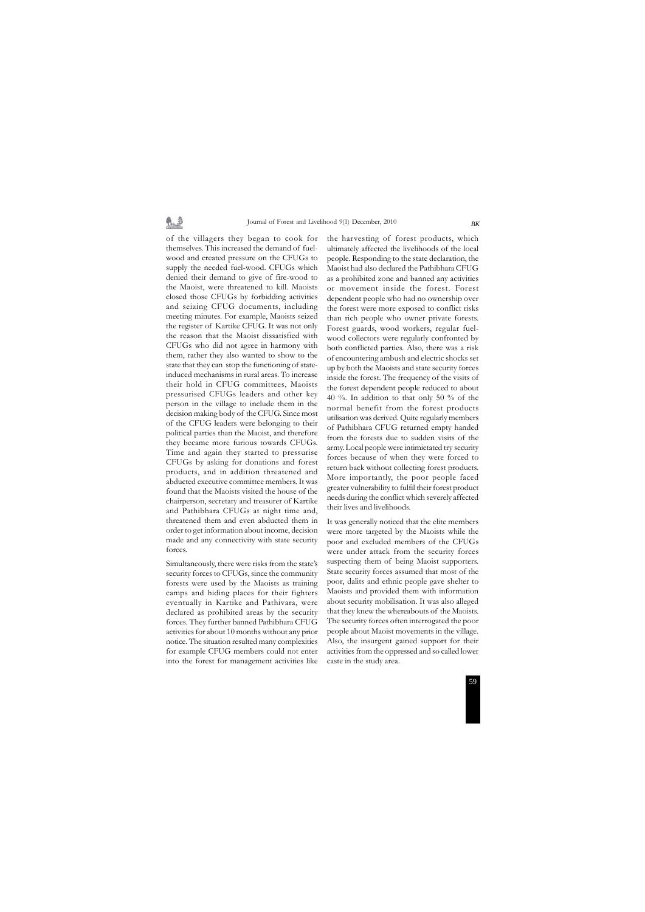# 鼻垂

#### Journal of Forest and Livelihood 9(1) December, 2010

of the villagers they began to cook for themselves. This increased the demand of fuelwood and created pressure on the CFUGs to supply the needed fuel-wood. CFUGs which denied their demand to give of fire-wood to the Maoist, were threatened to kill. Maoists closed those CFUGs by forbidding activities and seizing CFUG documents, including meeting minutes. For example, Maoists seized the register of Kartike CFUG. It was not only the reason that the Maoist dissatisfied with CFUGs who did not agree in harmony with them, rather they also wanted to show to the state that they can stop the functioning of stateinduced mechanisms in rural areas. To increase their hold in CFUG committees, Maoists pressurised CFUGs leaders and other key person in the village to include them in the decision making body of the CFUG. Since most of the CFUG leaders were belonging to their political parties than the Maoist, and therefore they became more furious towards CFUGs. Time and again they started to pressurise CFUGs by asking for donations and forest products, and in addition threatened and abducted executive committee members. It was found that the Maoists visited the house of the chairperson, secretary and treasurer of Kartike and Pathibhara CFUGs at night time and, threatened them and even abducted them in order to get information about income, decision made and any connectivity with state security forces.

Simultaneously, there were risks from the state's security forces to CFUGs, since the community forests were used by the Maoists as training camps and hiding places for their fighters eventually in Kartike and Pathivara, were declared as prohibited areas by the security forces. They further banned Pathibhara CFUG activities for about 10 months without any prior notice. The situation resulted many complexities for example CFUG members could not enter into the forest for management activities like the harvesting of forest products, which ultimately affected the livelihoods of the local people. Responding to the state declaration, the Maoist had also declared the Pathibhara CFUG as a prohibited zone and banned any activities or movement inside the forest. Forest dependent people who had no ownership over the forest were more exposed to conflict risks than rich people who owner private forests. Forest guards, wood workers, regular fuelwood collectors were regularly confronted by both conflicted parties. Also, there was a risk of encountering ambush and electric shocks set up by both the Maoists and state security forces inside the forest. The frequency of the visits of the forest dependent people reduced to about 40 %. In addition to that only 50 % of the normal benefit from the forest products utilisation was derived. Quite regularly members of Pathibhara CFUG returned empty handed from the forests due to sudden visits of the army. Local people were intimietated try security forces because of when they were forced to return back without collecting forest products. More importantly, the poor people faced greater vulnerability to fulfil their forest product needs during the conflict which severely affected their lives and livelihoods.

It was generally noticed that the elite members were more targeted by the Maoists while the poor and excluded members of the CFUGs were under attack from the security forces suspecting them of being Maoist supporters. State security forces assumed that most of the poor, dalits and ethnic people gave shelter to Maoists and provided them with information about security mobilisation. It was also alleged that they knew the whereabouts of the Maoists. The security forces often interrogated the poor people about Maoist movements in the village. Also, the insurgent gained support for their activities from the oppressed and so called lower caste in the study area.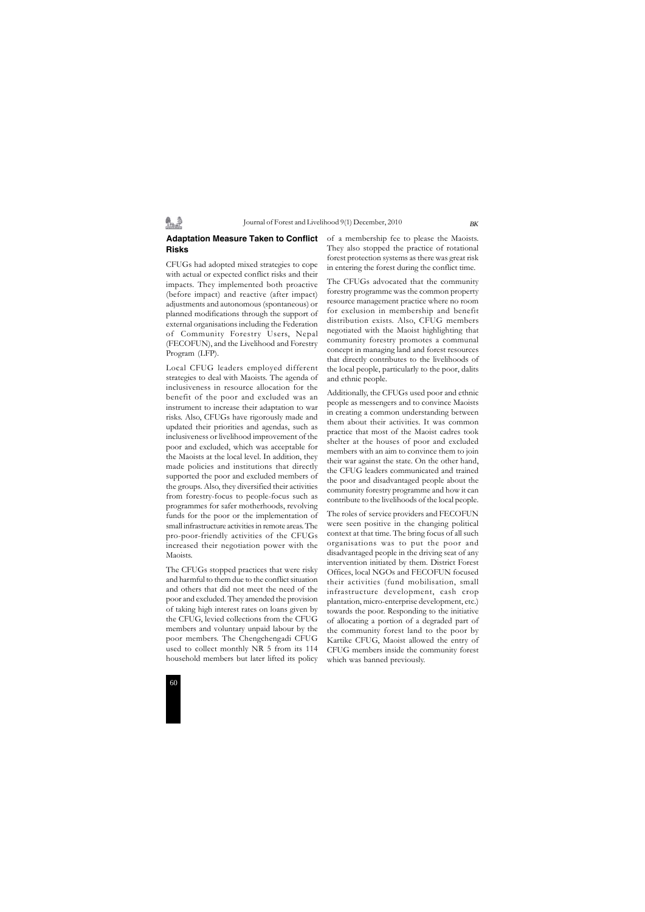#### Journal of Forest and Livelihood 9(1) December, 2010



# **Adaptation Measure Taken to Conflict Risks**

劉逵

CFUGs had adopted mixed strategies to cope with actual or expected conflict risks and their impacts. They implemented both proactive (before impact) and reactive (after impact) adjustments and autonomous (spontaneous) or planned modifications through the support of external organisations including the Federation of Community Forestry Users, Nepal (FECOFUN), and the Livelihood and Forestry Program (LFP).

Local CFUG leaders employed different strategies to deal with Maoists. The agenda of inclusiveness in resource allocation for the benefit of the poor and excluded was an instrument to increase their adaptation to war risks. Also, CFUGs have rigorously made and updated their priorities and agendas, such as inclusiveness or livelihood improvement of the poor and excluded, which was acceptable for the Maoists at the local level. In addition, they made policies and institutions that directly supported the poor and excluded members of the groups. Also, they diversified their activities from forestry-focus to people-focus such as programmes for safer motherhoods, revolving funds for the poor or the implementation of small infrastructure activities in remote areas. The pro-poor-friendly activities of the CFUGs increased their negotiation power with the Maoists.

The CFUGs stopped practices that were risky and harmful to them due to the conflict situation and others that did not meet the need of the poor and excluded. They amended the provision of taking high interest rates on loans given by the CFUG, levied collections from the CFUG members and voluntary unpaid labour by the poor members. The Chengchengadi CFUG used to collect monthly NR 5 from its 114 household members but later lifted its policy

of a membership fee to please the Maoists. They also stopped the practice of rotational forest protection systems as there was great risk in entering the forest during the conflict time.

The CFUGs advocated that the community forestry programme was the common property resource management practice where no room for exclusion in membership and benefit distribution exists. Also, CFUG members negotiated with the Maoist highlighting that community forestry promotes a communal concept in managing land and forest resources that directly contributes to the livelihoods of the local people, particularly to the poor, dalits and ethnic people.

Additionally, the CFUGs used poor and ethnic people as messengers and to convince Maoists in creating a common understanding between them about their activities. It was common practice that most of the Maoist cadres took shelter at the houses of poor and excluded members with an aim to convince them to join their war against the state. On the other hand, the CFUG leaders communicated and trained the poor and disadvantaged people about the community forestry programme and how it can contribute to the livelihoods of the local people.

The roles of service providers and FECOFUN were seen positive in the changing political context at that time. The bring focus of all such organisations was to put the poor and disadvantaged people in the driving seat of any intervention initiated by them. District Forest Offices, local NGOs and FECOFUN focused their activities (fund mobilisation, small infrastructure development, cash crop plantation, micro-enterprise development, etc.) towards the poor. Responding to the initiative of allocating a portion of a degraded part of the community forest land to the poor by Kartike CFUG, Maoist allowed the entry of CFUG members inside the community forest which was banned previously.

*BK*